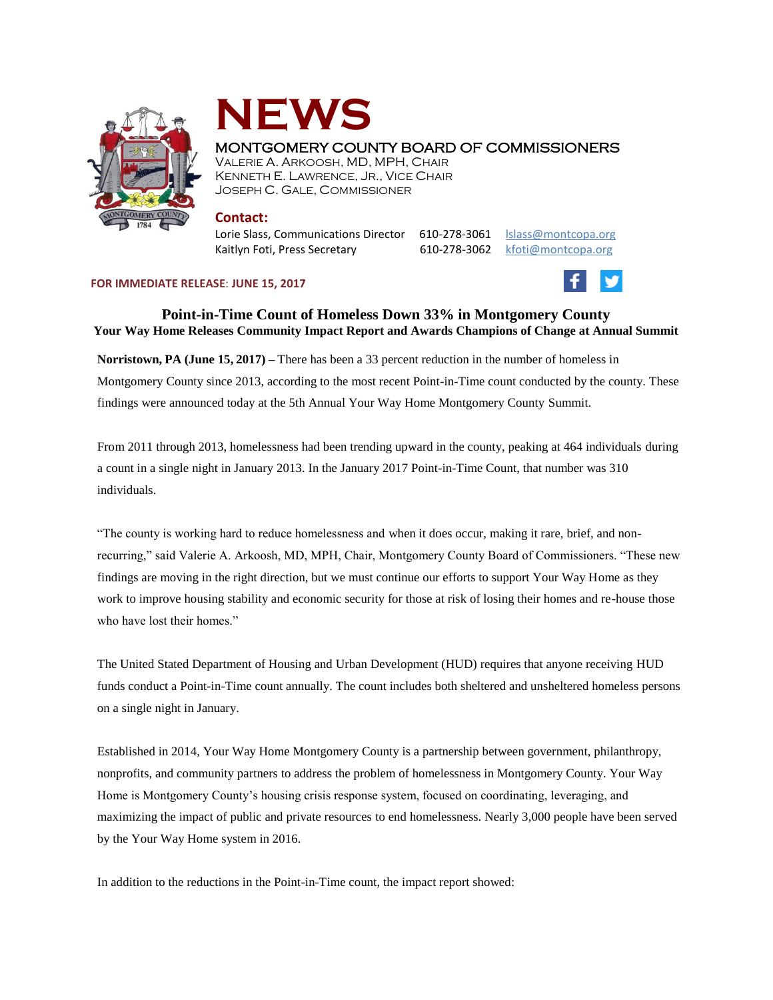



# MONTGOMERY COUNTY BOARD OF COMMISSIONERS

VALERIE A. ARKOOSH, MD, MPH, CHAIR KENNETH E. LAWRENCE, JR., VICE CHAIR JOSEPH C. GALE, COMMISSIONER

### **Contact:**

Lorie Slass, Communications Director 610-278-3061 [lslass@montcopa.org](mailto:lslass@montcopa.org) Kaitlyn Foti, Press Secretary 610-278-3062 [kfoti@montcopa.org](mailto:kfoti@montcopa.org)

#### **FOR IMMEDIATE RELEASE**: **JUNE 15, 2017**



## **Point-in-Time Count of Homeless Down 33% in Montgomery County Your Way Home Releases Community Impact Report and Awards Champions of Change at Annual Summit**

**Norristown, PA (June 15, 2017) –** There has been a 33 percent reduction in the number of homeless in Montgomery County since 2013, according to the most recent Point-in-Time count conducted by the county. These findings were announced today at the 5th Annual Your Way Home Montgomery County Summit.

From 2011 through 2013, homelessness had been trending upward in the county, peaking at 464 individuals during a count in a single night in January 2013. In the January 2017 Point-in-Time Count, that number was 310 individuals.

"The county is working hard to reduce homelessness and when it does occur, making it rare, brief, and nonrecurring," said Valerie A. Arkoosh, MD, MPH, Chair, Montgomery County Board of Commissioners. "These new findings are moving in the right direction, but we must continue our efforts to support Your Way Home as they work to improve housing stability and economic security for those at risk of losing their homes and re-house those who have lost their homes."

The United Stated Department of Housing and Urban Development (HUD) requires that anyone receiving HUD funds conduct a Point-in-Time count annually. The count includes both sheltered and unsheltered homeless persons on a single night in January.

Established in 2014, Your Way Home Montgomery County is a partnership between government, philanthropy, nonprofits, and community partners to address the problem of homelessness in Montgomery County. Your Way Home is Montgomery County's housing crisis response system, focused on coordinating, leveraging, and maximizing the impact of public and private resources to end homelessness. Nearly 3,000 people have been served by the Your Way Home system in 2016.

In addition to the reductions in the Point-in-Time count, the impact report showed: